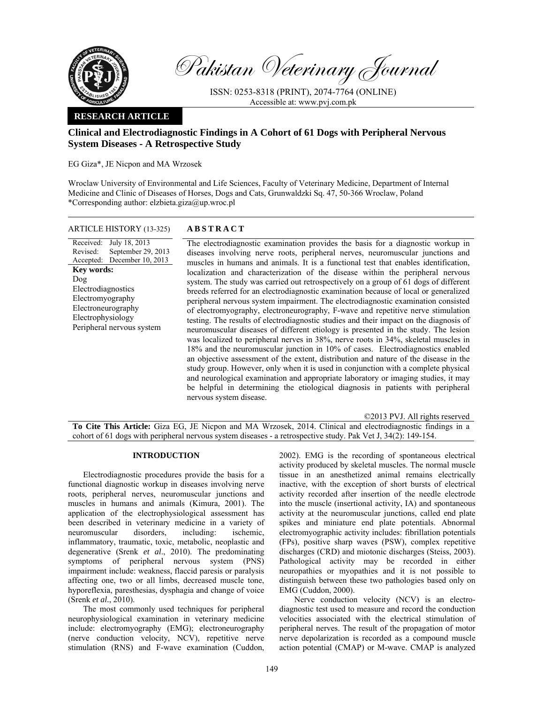

Pakistan Veterinary Journal

ISSN: 0253-8318 (PRINT), 2074-7764 (ONLINE) Accessible at: www.pvj.com.pk

## **RESEARCH ARTICLE**

# **Clinical and Electrodiagnostic Findings in A Cohort of 61 Dogs with Peripheral Nervous System Diseases - A Retrospective Study**

EG Giza\*, JE Nicpon and MA Wrzosek

Wroclaw University of Environmental and Life Sciences, Faculty of Veterinary Medicine, Department of Internal Medicine and Clinic of Diseases of Horses, Dogs and Cats, Grunwaldzki Sq. 47, 50-366 Wroclaw, Poland \*Corresponding author: elzbieta.giza@up.wroc.pl

## ARTICLE HISTORY (13-325) **ABSTRACT**

Received: Revised: Accepted: July 18, 2013 September 29, 2013 December 10, 2013 **Key words:**  Dog Electrodiagnostics Electromyography Electroneurography Electrophysiology Peripheral nervous system

 The electrodiagnostic examination provides the basis for a diagnostic workup in diseases involving nerve roots, peripheral nerves, neuromuscular junctions and muscles in humans and animals. It is a functional test that enables identification, localization and characterization of the disease within the peripheral nervous system. The study was carried out retrospectively on a group of 61 dogs of different breeds referred for an electrodiagnostic examination because of local or generalized peripheral nervous system impairment. The electrodiagnostic examination consisted of electromyography, electroneurography, F-wave and repetitive nerve stimulation testing. The results of electrodiagnostic studies and their impact on the diagnosis of neuromuscular diseases of different etiology is presented in the study. The lesion was localized to peripheral nerves in 38%, nerve roots in 34%, skeletal muscles in 18% and the neuromuscular junction in 10% of cases. Electrodiagnostics enabled an objective assessment of the extent, distribution and nature of the disease in the study group. However, only when it is used in conjunction with a complete physical and neurological examination and appropriate laboratory or imaging studies, it may be helpful in determining the etiological diagnosis in patients with peripheral nervous system disease.

©2013 PVJ. All rights reserved

**To Cite This Article:** Giza EG, JE Nicpon and MA Wrzosek, 2014. Clinical and electrodiagnostic findings in a cohort of 61 dogs with peripheral nervous system diseases - a retrospective study. Pak Vet J, 34(2): 149-154.

### **INTRODUCTION**

Electrodiagnostic procedures provide the basis for a functional diagnostic workup in diseases involving nerve roots, peripheral nerves, neuromuscular junctions and muscles in humans and animals (Kimura, 2001). The application of the electrophysiological assessment has been described in veterinary medicine in a variety of neuromuscular disorders, including: ischemic, inflammatory, traumatic, toxic, metabolic, neoplastic and degenerative (Srenk *et al*., 2010). The predominating symptoms of peripheral nervous system (PNS) impairment include: weakness, flaccid paresis or paralysis affecting one, two or all limbs, decreased muscle tone, hyporeflexia, paresthesias, dysphagia and change of voice (Srenk *et al.*, 2010).

The most commonly used techniques for peripheral neurophysiological examination in veterinary medicine include: electromyography (EMG); electroneurography (nerve conduction velocity, NCV), repetitive nerve stimulation (RNS) and F-wave examination (Cuddon,

2002). EMG is the recording of spontaneous electrical activity produced by skeletal muscles. The normal muscle tissue in an anesthetized animal remains electrically inactive, with the exception of short bursts of electrical activity recorded after insertion of the needle electrode into the muscle (insertional activity, IA) and spontaneous activity at the neuromuscular junctions, called end plate spikes and miniature end plate potentials. Abnormal electromyographic activity includes: fibrillation potentials (FPs), positive sharp waves (PSW), complex repetitive discharges (CRD) and miotonic discharges (Steiss, 2003). Pathological activity may be recorded in either neuropathies or myopathies and it is not possible to distinguish between these two pathologies based only on EMG (Cuddon, 2000).

Nerve conduction velocity (NCV) is an electrodiagnostic test used to measure and record the conduction velocities associated with the electrical stimulation of peripheral nerves. The result of the propagation of motor nerve depolarization is recorded as a compound muscle action potential (CMAP) or M-wave. CMAP is analyzed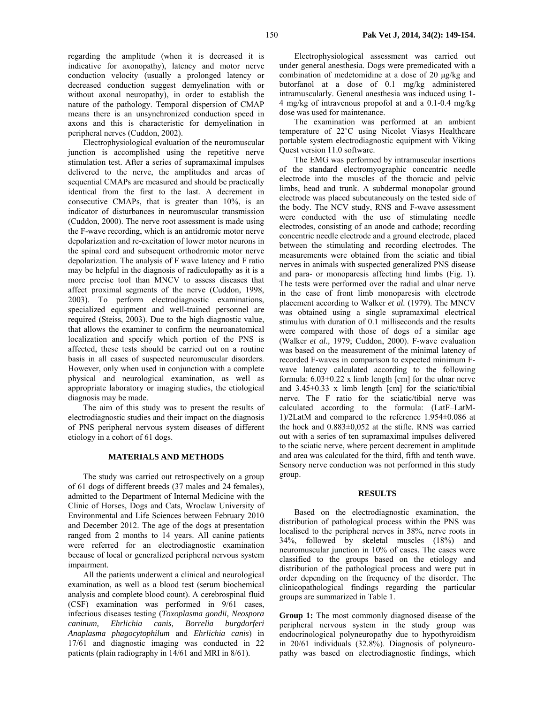regarding the amplitude (when it is decreased it is indicative for axonopathy), latency and motor nerve conduction velocity (usually a prolonged latency or decreased conduction suggest demyelination with or without axonal neuropathy), in order to establish the nature of the pathology. Temporal dispersion of CMAP means there is an unsynchronized conduction speed in axons and this is characteristic for demyelination in peripheral nerves (Cuddon, 2002).

Electrophysiological evaluation of the neuromuscular junction is accomplished using the repetitive nerve stimulation test. After a series of supramaximal impulses delivered to the nerve, the amplitudes and areas of sequential CMAPs are measured and should be practically identical from the first to the last. A decrement in consecutive CMAPs, that is greater than 10%, is an indicator of disturbances in neuromuscular transmission (Cuddon, 2000). The nerve root assessment is made using the F-wave recording, which is an antidromic motor nerve depolarization and re-excitation of lower motor neurons in the spinal cord and subsequent orthodromic motor nerve depolarization. The analysis of F wave latency and F ratio may be helpful in the diagnosis of radiculopathy as it is a more precise tool than MNCV to assess diseases that affect proximal segments of the nerve (Cuddon, 1998, 2003). To perform electrodiagnostic examinations, specialized equipment and well-trained personnel are required (Steiss, 2003). Due to the high diagnostic value, that allows the examiner to confirm the neuroanatomical localization and specify which portion of the PNS is affected, these tests should be carried out on a routine basis in all cases of suspected neuromuscular disorders. However, only when used in conjunction with a complete physical and neurological examination, as well as appropriate laboratory or imaging studies, the etiological diagnosis may be made.

The aim of this study was to present the results of electrodiagnostic studies and their impact on the diagnosis of PNS peripheral nervous system diseases of different etiology in a cohort of 61 dogs.

#### **MATERIALS AND METHODS**

The study was carried out retrospectively on a group of 61 dogs of different breeds (37 males and 24 females), admitted to the Department of Internal Medicine with the Clinic of Horses, Dogs and Cats, Wroclaw University of Environmental and Life Sciences between February 2010 and December 2012. The age of the dogs at presentation ranged from 2 months to 14 years. All canine patients were referred for an electrodiagnostic examination because of local or generalized peripheral nervous system impairment.

All the patients underwent a clinical and neurological examination, as well as a blood test (serum biochemical analysis and complete blood count). A cerebrospinal fluid (CSF) examination was performed in 9/61 cases, infectious diseases testing (*Toxoplasma gondii, Neospora caninum, Ehrlichia canis, Borrelia burgdorferi Anaplasma phagocytophilum* and *Ehrlichia canis*) in 17/61 and diagnostic imaging was conducted in 22 patients (plain radiography in 14/61 and MRI in 8/61).

Electrophysiological assessment was carried out under general anesthesia. Dogs were premedicated with a combination of medetomidine at a dose of 20 µg/kg and butorfanol at a dose of 0.1 mg/kg administered intramuscularly. General anesthesia was induced using 1- 4 mg/kg of intravenous propofol at and a 0.1-0.4 mg/kg dose was used for maintenance.

The examination was performed at an ambient temperature of 22˚C using Nicolet Viasys Healthcare portable system electrodiagnostic equipment with Viking Quest version 11.0 software.

The EMG was performed by intramuscular insertions of the standard electromyographic concentric needle electrode into the muscles of the thoracic and pelvic limbs, head and trunk. A subdermal monopolar ground electrode was placed subcutaneously on the tested side of the body. The NCV study, RNS and F-wave assessment were conducted with the use of stimulating needle electrodes, consisting of an anode and cathode; recording concentric needle electrode and a ground electrode, placed between the stimulating and recording electrodes. The measurements were obtained from the sciatic and tibial nerves in animals with suspected generalized PNS disease and para- or monoparesis affecting hind limbs (Fig. 1). The tests were performed over the radial and ulnar nerve in the case of front limb monoparesis with electrode placement according to Walker *et al.* (1979). The MNCV was obtained using a single supramaximal electrical stimulus with duration of 0.1 milliseconds and the results were compared with those of dogs of a similar age (Walker *et al.,* 1979; Cuddon, 2000). F-wave evaluation was based on the measurement of the minimal latency of recorded F-waves in comparison to expected minimum Fwave latency calculated according to the following formula: 6.03+0.22 x limb length [cm] for the ulnar nerve and 3.45+0.33 x limb length [cm] for the sciatic/tibial nerve. The F ratio for the sciatic/tibial nerve was calculated according to the formula: (LatF–LatM-1)/2LatM and compared to the reference 1.954±0.086 at the hock and 0.883±0,052 at the stifle. RNS was carried out with a series of ten supramaximal impulses delivered to the sciatic nerve, where percent decrement in amplitude and area was calculated for the third, fifth and tenth wave. Sensory nerve conduction was not performed in this study group.

#### **RESULTS**

Based on the electrodiagnostic examination, the distribution of pathological process within the PNS was localised to the peripheral nerves in 38%, nerve roots in 34%, followed by skeletal muscles (18%) and neuromuscular junction in 10% of cases. The cases were classified to the groups based on the etiology and distribution of the pathological process and were put in order depending on the frequency of the disorder. The clinicopathological findings regarding the particular groups are summarized in Table 1.

**Group 1:** The most commonly diagnosed disease of the peripheral nervous system in the study group was endocrinological polyneuropathy due to hypothyroidism in 20/61 individuals (32.8%). Diagnosis of polyneuropathy was based on electrodiagnostic findings, which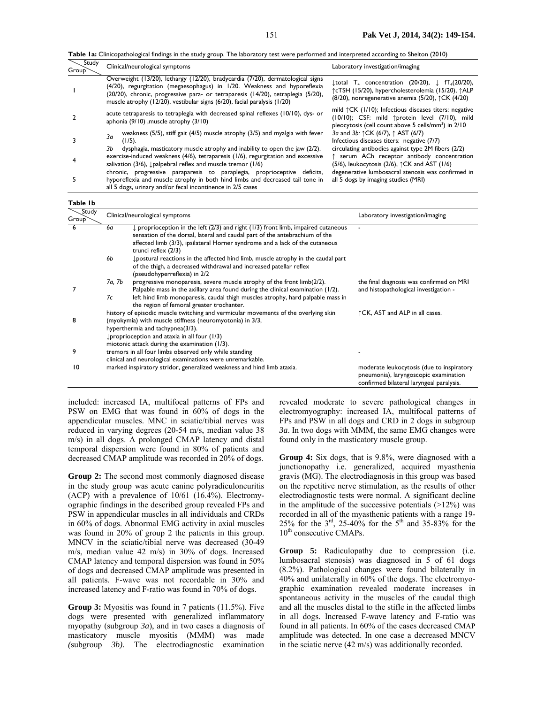**Table 1a:** Clinicopathological findings in the study group. The laboratory test were performed and interpreted according to Shelton (2010)

| Study<br>Group <sup>-</sup> | Clinical/neurological symptoms                                                                                                                                                                                                                                                                                             | Laboratory investigation/imaging                                                                                                                                                                                      |
|-----------------------------|----------------------------------------------------------------------------------------------------------------------------------------------------------------------------------------------------------------------------------------------------------------------------------------------------------------------------|-----------------------------------------------------------------------------------------------------------------------------------------------------------------------------------------------------------------------|
|                             | Overweight (13/20), lethargy (12/20), bradycardia (7/20), dermatological signs<br>(4/20), regurgitation (megaesophagus) in 1/20. Weakness and hyporeflexia<br>(20/20), chronic, progressive para- or tetraparesis (14/20), tetraplegia (5/20),<br>muscle atrophy (12/20), vestibular signs (6/20), facial paralysis (1/20) | $\downarrow$ total T <sub>4</sub> concentration (20/20), $\downarrow$ fT <sub>4</sub> (20/20),<br>↑cTSH (15/20), hypercholesterolemia (15/20), ↑ALP<br>$(8/20)$ , nonregenerative anemia (5/20), $\uparrow$ CK (4/20) |
|                             | acute tetraparesis to tetraplegia with decreased spinal reflexes (10/10), dys- or<br>aphonia (9/10), muscle atrophy (3/10)                                                                                                                                                                                                 | mild $\uparrow$ CK (1/10); Infectious diseases titers: negative<br>(10/10); CSF: mild 1protein level (7/10), mild<br>pleocytosis (cell count above 5 cells/mm <sup>3</sup> ) in 2/10                                  |
|                             | weakness (5/5), stiff gait (4/5) muscle atrophy (3/5) and myalgia with fever<br>За<br>$(1/5)$ .<br>dysphagia, masticatory muscle atrophy and inability to open the jaw (2/2).<br>Зb                                                                                                                                        | 3a and 3b: $\uparrow$ CK (6/7), $\uparrow$ AST (6/7)<br>Infectious diseases titers: negative (7/7)<br>circulating antibodies against type 2M fibers (2/2)                                                             |
|                             | exercise-induced weakness $(4/6)$ , tetraparesis $(1/6)$ , regurgitation and excessive<br>salivation (3/6), $\downarrow$ palpebral reflex and muscle tremor (1/6)<br>chronic, progressive paraparesis to paraplegia, proprioceptive deficits,                                                                              | serum ACh receptor antibody concentration<br>$(5/6)$ , leukocytosis $(2/6)$ , $\uparrow$ CK and AST $(1/6)$<br>degenerative lumbosacral stenosis was confirmed in                                                     |
|                             | hyporeflexia and muscle atrophy in both hind limbs and decreased tail tone in<br>all 5 dogs, urinary and/or fecal incontinence in 2/5 cases                                                                                                                                                                                | all 5 dogs by imaging studies (MRI)                                                                                                                                                                                   |

**Table 1b** 

| . av.c.        |                                                                                                                                                                                                                                                                                         |                                                                                                                                                                                                                                                                                      |                                                                                                                                |
|----------------|-----------------------------------------------------------------------------------------------------------------------------------------------------------------------------------------------------------------------------------------------------------------------------------------|--------------------------------------------------------------------------------------------------------------------------------------------------------------------------------------------------------------------------------------------------------------------------------------|--------------------------------------------------------------------------------------------------------------------------------|
| Study<br>Group |                                                                                                                                                                                                                                                                                         | Clinical/neurological symptoms                                                                                                                                                                                                                                                       | Laboratory investigation/imaging                                                                                               |
| 6              | 6a                                                                                                                                                                                                                                                                                      | $\downarrow$ proprioception in the left (2/3) and right (1/3) front limb, impaired cutaneous<br>sensation of the dorsal, lateral and caudal part of the antebrachium of the<br>affected limb (3/3), ipsilateral Horner syndrome and a lack of the cutaneous<br>trunci reflex $(2/3)$ | $\overline{\phantom{a}}$                                                                                                       |
|                | 6b                                                                                                                                                                                                                                                                                      | postural reactions in the affected hind limb, muscle atrophy in the caudal part<br>of the thigh, a decreased withdrawal and increased patellar reflex<br>(pseudohyperreflexia) in 2/2                                                                                                |                                                                                                                                |
|                | 7a, 7b                                                                                                                                                                                                                                                                                  | progressive monoparesis, severe muscle atrophy of the front limb(2/2).<br>Palpable mass in the axillary area found during the clinical examination (1/2).                                                                                                                            | the final diagnosis was confirmed on MRI<br>and histopathological investigation -                                              |
|                | 7c                                                                                                                                                                                                                                                                                      | left hind limb monoparesis, caudal thigh muscles atrophy, hard palpable mass in<br>the region of femoral greater trochanter.                                                                                                                                                         |                                                                                                                                |
| 8              | history of episodic muscle twitching and vermicular movements of the overlying skin<br>(myokymia) with muscle stiffness (neuromyotonia) in 3/3,<br>hyperthermia and tachypnea(3/3).<br>$L$ proprioception and ataxia in all four (1/3)<br>miotonic attack during the examination (1/3). |                                                                                                                                                                                                                                                                                      | ↑ CK, AST and ALP in all cases.                                                                                                |
| 9              | tremors in all four limbs observed only while standing<br>clinical and neurological examinations were unremarkable.                                                                                                                                                                     |                                                                                                                                                                                                                                                                                      |                                                                                                                                |
| 10             | marked inspiratory stridor, generalized weakness and hind limb ataxia.                                                                                                                                                                                                                  |                                                                                                                                                                                                                                                                                      | moderate leukocytosis (due to inspiratory<br>pneumonia), laryngoscopic examination<br>confirmed bilateral laryngeal paralysis. |

included: increased IA, multifocal patterns of FPs and PSW on EMG that was found in 60% of dogs in the appendicular muscles. MNC in sciatic/tibial nerves was reduced in varying degrees (20-54 m/s, median value 38 m/s) in all dogs. A prolonged CMAP latency and distal temporal dispersion were found in 80% of patients and decreased CMAP amplitude was recorded in 20% of dogs.

**Group 2:** The second most commonly diagnosed disease in the study group was acute canine polyradiculoneuritis (ACP) with a prevalence of 10/61 (16.4%). Electromyographic findings in the described group revealed FPs and PSW in appendicular muscles in all individuals and CRDs in 60% of dogs. Abnormal EMG activity in axial muscles was found in 20% of group 2 the patients in this group. MNCV in the sciatic/tibial nerve was decreased (30-49 m/s, median value 42 m/s) in 30% of dogs. Increased CMAP latency and temporal dispersion was found in 50% of dogs and decreased CMAP amplitude was presented in all patients. F-wave was not recordable in 30% and increased latency and F-ratio was found in 70% of dogs.

**Group 3:** Myositis was found in 7 patients (11.5%). Five dogs were presented with generalized inflammatory myopathy (subgroup *3a*), and in two cases a diagnosis of masticatory muscle myositis (MMM) was made *(*subgroup *3b).* The electrodiagnostic examination

revealed moderate to severe pathological changes in electromyography: increased IA, multifocal patterns of FPs and PSW in all dogs and CRD in 2 dogs in subgroup *3a*. In two dogs with MMM, the same EMG changes were found only in the masticatory muscle group.

**Group 4:** Six dogs, that is 9.8%, were diagnosed with a junctionopathy i.e. generalized, acquired myasthenia gravis (MG). The electrodiagnosis in this group was based on the repetitive nerve stimulation, as the results of other electrodiagnostic tests were normal. A significant decline in the amplitude of the successive potentials  $(>12\%)$  was recorded in all of the myasthenic patients with a range 19- 25% for the  $3^{rd}$ , 25-40% for the  $5^{th}$  and 35-83% for the  $10<sup>th</sup>$  consecutive CMAPs.

**Group 5:** Radiculopathy due to compression (i.e. lumbosacral stenosis) was diagnosed in 5 of 61 dogs (8.2%). Pathological changes were found bilaterally in 40% and unilaterally in 60% of the dogs. The electromyographic examination revealed moderate increases in spontaneous activity in the muscles of the caudal thigh and all the muscles distal to the stifle in the affected limbs in all dogs*.* Increased F-wave latency and F-ratio was found in all patients. In 60% of the cases decreased CMAP amplitude was detected. In one case a decreased MNCV in the sciatic nerve (42 m/s) was additionally recorded*.*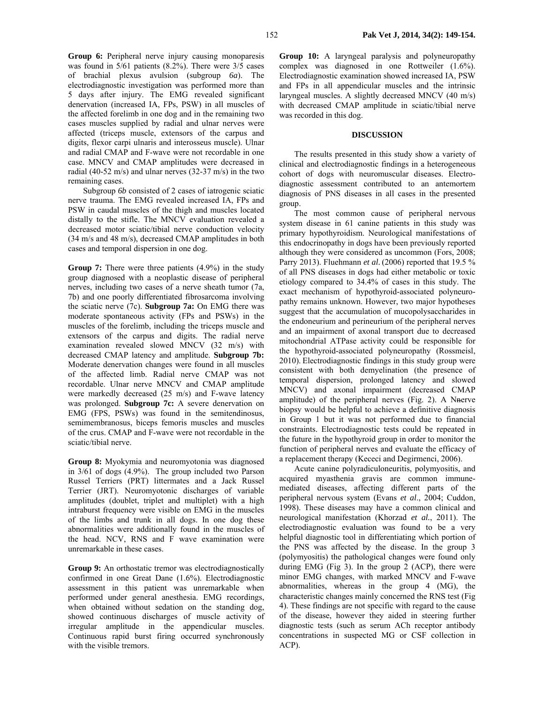**Group 6:** Peripheral nerve injury causing monoparesis was found in 5/61 patients (8.2%). There were 3/5 cases of brachial plexus avulsion (subgroup *6a*). The electrodiagnostic investigation was performed more than 5 days after injury. The EMG revealed significant denervation (increased IA, FPs, PSW) in all muscles of the affected forelimb in one dog and in the remaining two cases muscles supplied by radial and ulnar nerves were affected (triceps muscle, extensors of the carpus and digits, flexor carpi ulnaris and interosseus muscle). Ulnar and radial CMAP and F-wave were not recordable in one case. MNCV and CMAP amplitudes were decreased in radial (40-52 m/s) and ulnar nerves (32-37 m/s) in the two remaining cases.

Subgroup *6b* consisted of 2 cases of iatrogenic sciatic nerve trauma. The EMG revealed increased IA, FPs and PSW in caudal muscles of the thigh and muscles located distally to the stifle. The MNCV evaluation revealed a decreased motor sciatic/tibial nerve conduction velocity (34 m/s and 48 m/s), decreased CMAP amplitudes in both cases and temporal dispersion in one dog.

**Group 7:** There were three patients  $(4.9\%)$  in the study group diagnosed with a neoplastic disease of peripheral nerves, including two cases of a nerve sheath tumor (7a, 7b) and one poorly differentiated fibrosarcoma involving the sciatic nerve (7c). **Subgroup 7a:** On EMG there was moderate spontaneous activity (FPs and PSWs) in the muscles of the forelimb, including the triceps muscle and extensors of the carpus and digits. The radial nerve examination revealed slowed MNCV (32 m/s) with decreased CMAP latency and amplitude. **Subgroup 7b:**  Moderate denervation changes were found in all muscles of the affected limb. Radial nerve CMAP was not recordable. Ulnar nerve MNCV and CMAP amplitude were markedly decreased (25 m/s) and F-wave latency was prolonged. **Subgroup 7c:** A severe denervation on EMG (FPS, PSWs) was found in the semitendinosus, semimembranosus, biceps femoris muscles and muscles of the crus. CMAP and F-wave were not recordable in the sciatic/tibial nerve.

**Group 8:** Myokymia and neuromyotonia was diagnosed in 3/61 of dogs (4.9%). The group included two Parson Russel Terriers (PRT) littermates and a Jack Russel Terrier (JRT). Neuromyotonic discharges of variable amplitudes (doublet, triplet and multiplet) with a high intraburst frequency were visible on EMG in the muscles of the limbs and trunk in all dogs. In one dog these abnormalities were additionally found in the muscles of the head. NCV, RNS and F wave examination were unremarkable in these cases.

**Group 9:** An orthostatic tremor was electrodiagnostically confirmed in one Great Dane (1.6%). Electrodiagnostic assessment in this patient was unremarkable when performed under general anesthesia. EMG recordings, when obtained without sedation on the standing dog, showed continuous discharges of muscle activity of irregular amplitude in the appendicular muscles. Continuous rapid burst firing occurred synchronously with the visible tremors.

**Group 10:** A laryngeal paralysis and polyneuropathy complex was diagnosed in one Rottweiler (1.6%). Electrodiagnostic examination showed increased IA, PSW and FPs in all appendicular muscles and the intrinsic laryngeal muscles. A slightly decreased MNCV (40 m/s) with decreased CMAP amplitude in sciatic/tibial nerve was recorded in this dog.

### **DISCUSSION**

The results presented in this study show a variety of clinical and electrodiagnostic findings in a heterogeneous cohort of dogs with neuromuscular diseases. Electrodiagnostic assessment contributed to an antemortem diagnosis of PNS diseases in all cases in the presented group.

The most common cause of peripheral nervous system disease in 61 canine patients in this study was primary hypothyroidism. Neurological manifestations of this endocrinopathy in dogs have been previously reported although they were considered as uncommon (Fors, 2008; Parry 2013). Fluehmann *et al.* (2006) reported that 19.5 % of all PNS diseases in dogs had either metabolic or toxic etiology compared to 34.4% of cases in this study. The exact mechanism of hypothyroid-associated polyneuropathy remains unknown. However, two major hypotheses suggest that the accumulation of mucopolysaccharides in the endoneurium and perineurium of the peripheral nerves and an impairment of axonal transport due to decreased mitochondrial ATPase activity could be responsible for the hypothyroid-associated polyneuropathy (Rossmeisl, 2010). Electrodiagnostic findings in this study group were consistent with both demyelination (the presence of temporal dispersion, prolonged latency and slowed MNCV) and axonal impairment (decreased CMAP amplitude) of the peripheral nerves (Fig. 2). A Nnerve biopsy would be helpful to achieve a definitive diagnosis in Group 1 but it was not performed due to financial constraints. Electrodiagnostic tests could be repeated in the future in the hypothyroid group in order to monitor the function of peripheral nerves and evaluate the efficacy of a replacement therapy (Kececi and Degirmenci, 2006).

Acute canine polyradiculoneuritis, polymyositis, and acquired myasthenia gravis are common immunemediated diseases, affecting different parts of the peripheral nervous system (Evans *et al*., 2004; Cuddon, 1998). These diseases may have a common clinical and neurological manifestation (Khorzad *et al.*, 2011). The electrodiagnostic evaluation was found to be a very helpful diagnostic tool in differentiating which portion of the PNS was affected by the disease. In the group 3 (polymyositis) the pathological changes were found only during EMG (Fig 3). In the group 2 (ACP), there were minor EMG changes, with marked MNCV and F-wave abnormalities, whereas in the group 4 (MG), the characteristic changes mainly concerned the RNS test (Fig 4). These findings are not specific with regard to the cause of the disease, however they aided in steering further diagnostic tests (such as serum ACh receptor antibody concentrations in suspected MG or CSF collection in ACP).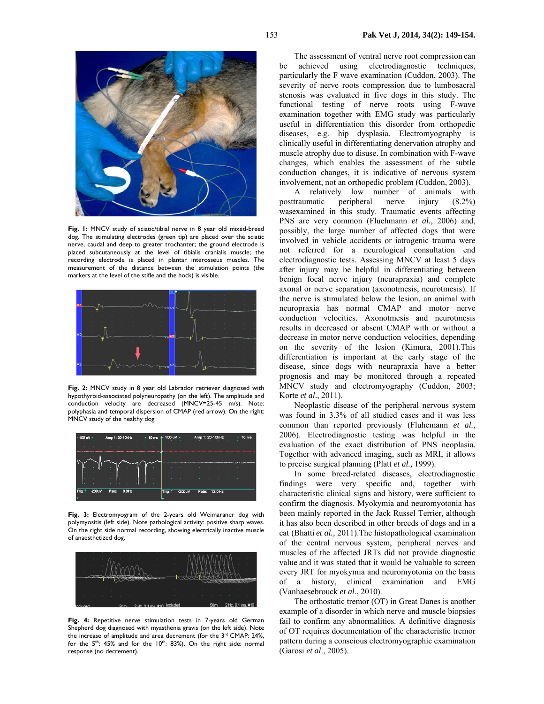

**Fig. 1:** MNCV study of sciatic/tibial nerve in 8 year old mixed-breed dog. The stimulating electrodes (green tip) are placed over the sciatic nerve, caudal and deep to greater trochanter; the ground electrode is placed subcutaneously at the level of tibialis cranialis muscle; the recording electrode is placed in plantar interosseus muscles. The measurement of the distance between the stimulation points (the markers at the level of the stifle and the hock) is visible.



**Fig. 2:** MNCV study in 8 year old Labrador retriever diagnosed with hypothyroid-associated polyneuropathy (on the left). The amplitude and conduction velocity are decreased (MNCV=25-45 m/s). Note: polyphasia and temporal dispersion of CMAP (red arrow). On the right: MNCV study of the healthy dog



**Fig. 3:** Electromyogram of the 2-years old Weimaraner dog with polymyositis (left side). Note pathological activity: positive sharp waves. On the right side normal recording, showing electrically inactive muscle of anaesthetized dog.



**Fig. 4:** Repetitive nerve stimulation tests in 7-years old German Shepherd dog diagnosed with myasthenia gravis (on the left side). Note the increase of amplitude and area decrement (for the 3<sup>rd</sup> CMAP: 24%, for the 5<sup>th</sup>: 45% and for the 10<sup>th</sup>: 83%). On the right side: normal response (no decrement).

The assessment of ventral nerve root compression can be achieved using electrodiagnostic techniques, particularly the F wave examination (Cuddon, 2003). The severity of nerve roots compression due to lumbosacral stenosis was evaluated in five dogs in this study. The functional testing of nerve roots using F-wave examination together with EMG study was particularly useful in differentiation this disorder from orthopedic diseases, e.g. hip dysplasia. Electromyography is clinically useful in differentiating denervation atrophy and muscle atrophy due to disuse. In combination with F-wave changes, which enables the assessment of the subtle conduction changes, it is indicative of nervous system involvement, not an orthopedic problem (Cuddon, 2003).

A relatively low number of animals with posttraumatic peripheral nerve injury (8.2%) wasexamined in this study. Traumatic events affecting PNS are very common (Fluehmann *et al.*, 2006) and, possibly, the large number of affected dogs that were involved in vehicle accidents or iatrogenic trauma were not referred for a neurological consultation end electrodiagnostic tests. Assessing MNCV at least 5 days after injury may be helpful in differentiating between benign focal nerve injury (neurapraxia) and complete axonal or nerve separation (axonotmesis, neurotmesis). If the nerve is stimulated below the lesion, an animal with neuropraxia has normal CMAP and motor nerve conduction velocities. Axonotmesis and neurotmesis results in decreased or absent CMAP with or without a decrease in motor nerve conduction velocities, depending on the severity of the lesion (Kimura, 2001).This differentiation is important at the early stage of the disease, since dogs with neurapraxia have a better prognosis and may be monitored through a repeated MNCV study and electromyography (Cuddon, 2003; Korte *et al*., 2011).

Neoplastic disease of the peripheral nervous system was found in 3.3% of all studied cases and it was less common than reported previously (Fluhemann *et al.*, 2006). Electrodiagnostic testing was helpful in the evaluation of the exact distribution of PNS neoplasia. Together with advanced imaging, such as MRI, it allows to precise surgical planning (Platt *et al.,* 1999).

In some breed-related diseases, electrodiagnostic findings were very specific and, together with characteristic clinical signs and history, were sufficient to confirm the diagnosis. Myokymia and neuromyotonia has been mainly reported in the Jack Russel Terrier, although it has also been described in other breeds of dogs and in a cat (Bhatti *et al.,* 2011).The histopathological examination of the central nervous system, peripheral nerves and muscles of the affected JRTs did not provide diagnostic value and it was stated that it would be valuable to screen every JRT for myokymia and neuromyotonia on the basis of a history, clinical examination and EMG (Vanhaesebrouck *et al*., 2010).

The orthostatic tremor (OT) in Great Danes is another example of a disorder in which nerve and muscle biopsies fail to confirm any abnormalities. A definitive diagnosis of OT requires documentation of the characteristic tremor pattern during a conscious electromyographic examination (Garosi *et al*., 2005).